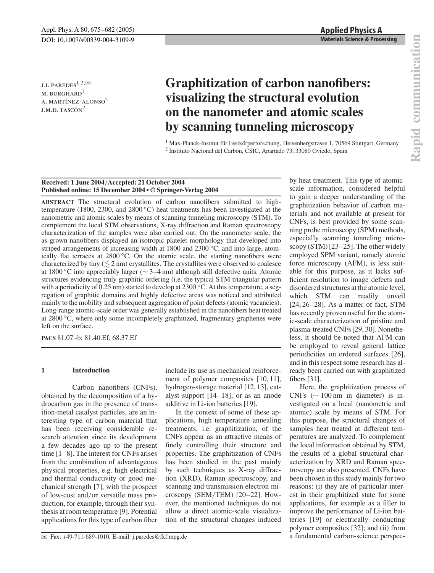J.I. PAREDES<sup>1,2, $\boxtimes$ </sup> M. BURGHARD<sup>1</sup> A. MARTÍNEZ-ALONSO<sup>2</sup>  $J.M.D.$  TASCÓN<sup>2</sup>

# **Graphitization of carbon nanofibers: visualizing the structural evolution on the nanometer and atomic scales by scanning tunneling microscopy**

<sup>1</sup> Max-Planck-Institut für Festkörperforschung, Heisenbergstrasse 1, 70569 Stuttgart, Germany <sup>2</sup> Instituto Nacional del Carbón, CSIC, Apartado 73, 33080 Oviedo, Spain

# **Received: 1 June 2004**/**Accepted: 21 October 2004 Published online: 15 December 2004 • © Springer-Verlag 2004**

**ABSTRACT** The structural evolution of carbon nanofibers submitted to hightemperature (1800, 2300, and 2800  $\degree$ C) heat treatments has been investigated at the nanometric and atomic scales by means of scanning tunneling microscopy (STM). To complement the local STM observations, X-ray diffraction and Raman spectroscopy characterization of the samples were also carried out. On the nanometer scale, the as-grown nanofibers displayed an isotropic platelet morphology that developed into striped arrangements of increasing width at 1800 and 2300 ◦C, and into large, atomically flat terraces at  $2800\degree$ C. On the atomic scale, the starting nanofibers were characterized by tiny  $(\leq 2 \text{ nm})$  crystallites. The crystallites were observed to coalesce at 1800 ◦C into appreciably larger (∼ 3–4 nm) although still defective units. Atomic structures evidencing truly graphitic ordering (i.e. the typical STM triangular pattern with a periodicity of 0.25 nm) started to develop at 2300  $\degree$ C. At this temperature, a segregation of graphitic domains and highly defective areas was noticed and attributed mainly to the mobility and subsequent aggregation of point defects (atomic vacancies). Long-range atomic-scale order was generally established in the nanofibers heat treated at 2800 ◦C, where only some incompletely graphitized, fragmentary graphenes were left on the surface.

**PACS** 81.07.-b; 81.40.Ef; 68.37.Ef

# **1 Introduction**

Carbon nanofibers (CNFs), obtained by the decomposition of a hydrocarbon gas in the presence of transition-metal catalyst particles, are an interesting type of carbon material that has been receiving considerable research attention since its development a few decades ago up to the present time [1–8]. The interest for CNFs arises from the combination of advantageous physical properties, e.g. high electrical and thermal conductivity or good mechanical strength [7], with the prospect of low-cost and/or versatile mass production, for example, through their synthesis at room temperature [9]. Potential applications for this type of carbon fiber include its use as mechanical reinforcement of polymer composites [10, 11], hydrogen-storage material [12, 13], catalyst support [14–18], or as an anode additive in Li-ion batteries [19].

In the context of some of these applications, high temperature annealing treatments, i.e. graphitization, of the CNFs appear as an attractive means of finely controlling their structure and properties. The graphitization of CNFs has been studied in the past mainly by such techniques as X-ray diffraction (XRD), Raman spectroscopy, and scanning and transmission electron microscopy (SEM/TEM) [20–22]. However, the mentioned techniques do not allow a direct atomic-scale visualization of the structural changes induced by heat treatment. This type of atomicscale information, considered helpful to gain a deeper understanding of the graphitization behavior of carbon materials and not available at present for CNFs, is best provided by some scanning probe microscopy (SPM) methods, especially scanning tunneling microscopy (STM) [23–25]. The other widely employed SPM variant, namely atomic force microscopy (AFM), is less suitable for this purpose, as it lacks sufficient resolution to image defects and disordered structures at the atomic level, which STM can readily unveil  $[24, 26-28]$ . As a matter of fact, STM has recently proven useful for the atomic-scale characterization of pristine and plasma-treated CNFs [29, 30]. Nonetheless, it should be noted that AFM can be employed to reveal general lattice periodicities on ordered surfaces [26], and in this respect some research has already been carried out with graphitized fibers [31].

Here, the graphitization process of CNFs ( $\sim$  100 nm in diameter) is investigated on a local (nanometric and atomic) scale by means of STM. For this purpose, the structural changes of samples heat treated at different temperatures are analyzed. To complement the local information obtained by STM, the results of a global structural characterization by XRD and Raman spectroscopy are also presented. CNFs have been chosen in this study mainly for two reasons: (i) they are of particular interest in their graphitized state for some applications, for example as a filler to improve the performance of Li-ion batteries [19] or electrically conducting polymer composites [32]; and (ii) from a fundamental carbon-science perspec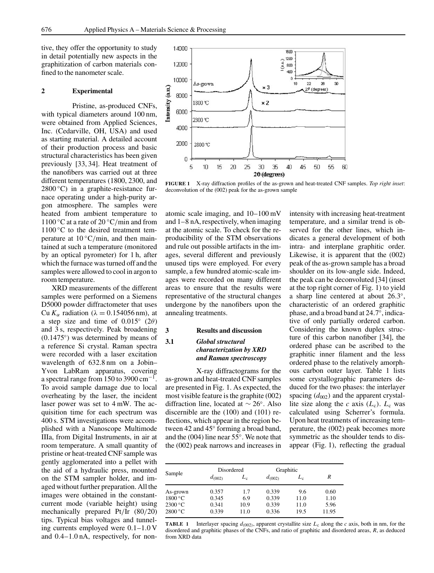tive, they offer the opportunity to study in detail potentially new aspects in the graphitization of carbon materials confined to the nanometer scale.

#### **2 Experimental**

Pristine, as-produced CNFs, with typical diameters around 100 nm, were obtained from Applied Sciences, Inc. (Cedarville, OH, USA) and used as starting material. A detailed account of their production process and basic structural characteristics has been given previously [33, 34]. Heat treatment of the nanofibers was carried out at three different temperatures (1800, 2300, and  $2800\degree C$ ) in a graphite-resistance furnace operating under a high-purity argon atmosphere. The samples were heated from ambient temperature to 1100 °C at a rate of 20 °C/min and from  $1100\degree C$  to the desired treatment temperature at  $10 °C/min$ , and then maintained at such a temperature (monitored by an optical pyrometer) for 1 h, after which the furnace was turned off and the samples were allowed to cool in argon to room temperature.

XRD measurements of the different samples were performed on a Siemens D5000 powder diffractometer that uses Cu  $K_{\alpha}$  radiation ( $\lambda = 0.154056$  nm), at a step size and time of  $0.015°$  (2 $\theta$ ) and 3 s, respectively. Peak broadening (0.1475◦) was determined by means of a reference Si crystal. Raman spectra were recorded with a laser excitation wavelength of 632.8 nm on a Jobin– Yvon LabRam apparatus, covering a spectral range from 150 to 3900 cm<sup>-1</sup>. To avoid sample damage due to local overheating by the laser, the incident laser power was set to 4 mW. The acquisition time for each spectrum was 400 s. STM investigations were accomplished with a Nanoscope Multimode IIIa, from Digital Instruments, in air at room temperature. A small quantity of pristine or heat-treated CNF sample was gently agglomerated into a pellet with the aid of a hydraulic press, mounted on the STM sampler holder, and imaged without further preparation. All the images were obtained in the constantcurrent mode (variable height) using mechanically prepared Pt/Ir (80/20) tips. Typical bias voltages and tunneling currents employed were 0.1–1.0 V and 0.4–1.0 nA, respectively, for non-



**FIGURE 1** X-ray diffraction profiles of the as-grown and heat-treated CNF samples. *Top right inset*: deconvolution of the (002) peak for the as-grown sample

atomic scale imaging, and 10–100 mV and 1–8 nA, respectively, when imaging at the atomic scale. To check for the reproducibility of the STM observations and rule out possible artifacts in the images, several different and previously unused tips were employed. For every sample, a few hundred atomic-scale images were recorded on many different areas to ensure that the results were representative of the structural changes undergone by the nanofibers upon the annealing treatments.

### **3 Results and discussion**

# **3.1** *Global structural characterization by XRD and Raman spectroscopy*

X-ray diffractograms for the as-grown and heat-treated CNF samples are presented in Fig. 1. As expected, the most visible feature is the graphite (002) diffraction line, located at ∼ 26◦. Also discernible are the (100) and (101) reflections, which appear in the region between 42 and 45◦ forming a broad band, and the (004) line near 55◦. We note that the (002) peak narrows and increases in

intensity with increasing heat-treatment temperature, and a similar trend is observed for the other lines, which indicates a general development of both intra- and interplane graphitic order. Likewise, it is apparent that the (002) peak of the as-grown sample has a broad shoulder on its low-angle side. Indeed, the peak can be deconvoluted [34] (inset at the top right corner of Fig. 1) to yield a sharp line centered at about 26.3◦, characteristic of an ordered graphitic phase, and a broad band at 24.7◦, indicative of only partially ordered carbon. Considering the known duplex structure of this carbon nanofiber [34], the ordered phase can be ascribed to the graphitic inner filament and the less ordered phase to the relatively amorphous carbon outer layer. Table 1 lists some crystallographic parameters deduced for the two phases: the interlayer spacing  $(d_{002})$  and the apparent crystallite size along the *c* axis  $(L_c)$ .  $L_c$  was calculated using Scherrer's formula. Upon heat treatments of increasing temperature, the (002) peak becomes more symmetric as the shoulder tends to disappear (Fig. 1), reflecting the gradual

| Sample   | Disordered  |       | Graphitic   |       |       |
|----------|-------------|-------|-------------|-------|-------|
|          | $d_{(002)}$ | $L_c$ | $d_{(002)}$ | $L_c$ | R     |
| As-grown | 0.357       | 1.7   | 0.339       | 9.6   | 0.60  |
| 1800 °C  | 0.345       | 6.9   | 0.339       | 11.0  | 1.10  |
| 2300 °C  | 0.341       | 10.9  | 0.339       | 11.0  | 5.96  |
| 2800 °C  | 0.339       | 11.0  | 0.336       | 19.5  | 11.95 |

**TABLE 1** Interlayer spacing  $d_{(002)}$ , apparent crystallite size  $L_c$  along the *c* axis, both in nm, for the disordered and graphitic phases of the CNFs, and ratio of graphitic and disordered areas, *R*, as deduced from XRD data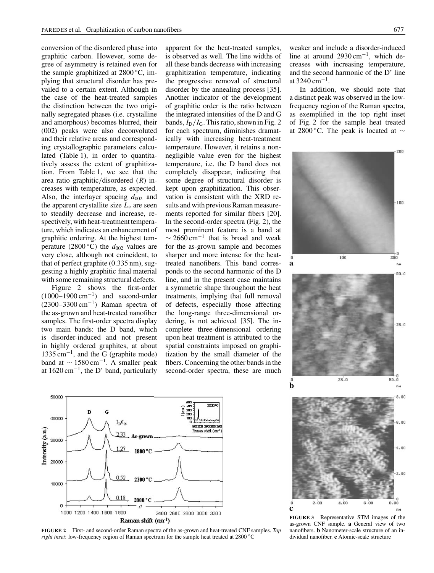conversion of the disordered phase into graphitic carbon. However, some degree of asymmetry is retained even for the sample graphitized at  $2800\degree C$ , implying that structural disorder has prevailed to a certain extent. Although in the case of the heat-treated samples the distinction between the two originally segregated phases (i.e. crystalline and amorphous) becomes blurred, their (002) peaks were also deconvoluted and their relative areas and corresponding crystallographic parameters calculated (Table 1), in order to quantitatively assess the extent of graphitization. From Table 1, we see that the area ratio graphitic/disordered (*R*) increases with temperature, as expected. Also, the interlayer spacing  $d_{002}$  and the apparent crystallite size  $L_c$  are seen to steadily decrease and increase, respectively, with heat-treatment temperature, which indicates an enhancement of graphitic ordering. At the highest temperature (2800 °C) the  $d_{002}$  values are very close, although not coincident, to that of perfect graphite (0.335 nm), suggesting a highly graphitic final material with some remaining structural defects.

Figure 2 shows the first-order  $(1000-1900 \text{ cm}^{-1})$  and second-order  $(2300-3300 \text{ cm}^{-1})$  Raman spectra of the as-grown and heat-treated nanofiber samples. The first-order spectra display two main bands: the D band, which is disorder-induced and not present in highly ordered graphites, at about  $1335 \text{ cm}^{-1}$ , and the G (graphite mode) band at  $\sim 1580 \text{ cm}^{-1}$ . A smaller peak at 1620 cm−1, the D' band, particularly

apparent for the heat-treated samples, is observed as well. The line widths of all these bands decrease with increasing graphitization temperature, indicating the progressive removal of structural disorder by the annealing process [35]. Another indicator of the development of graphitic order is the ratio between the integrated intensities of the D and G bands,  $I_D/I_G$ . This ratio, shown in Fig. 2 for each spectrum, diminishes dramatically with increasing heat-treatment temperature. However, it retains a nonnegligible value even for the highest temperature, i.e. the D band does not completely disappear, indicating that some degree of structural disorder is kept upon graphitization. This observation is consistent with the XRD results and with previous Raman measurements reported for similar fibers [20]. In the second-order spectra (Fig. 2), the most prominent feature is a band at  $\sim$  2660 cm<sup>-1</sup> that is broad and weak for the as-grown sample and becomes sharper and more intense for the heattreated nanofibers. This band corresponds to the second harmonic of the D line, and in the present case maintains a symmetric shape throughout the heat treatments, implying that full removal of defects, especially those affecting the long-range three-dimensional ordering, is not achieved [35]. The incomplete three-dimensional ordering upon heat treatment is attributed to the spatial constraints imposed on graphitization by the small diameter of the fibers. Concerning the other bands in the second-order spectra, these are much weaker and include a disorder-induced line at around 2930 cm−1, which decreases with increasing temperature, and the second harmonic of the D' line at 3240 cm<sup>-1</sup>

In addition, we should note that a distinct peak was observed in the lowfrequency region of the Raman spectra, as exemplified in the top right inset of Fig. 2 for the sample heat treated at 2800 °C. The peak is located at  $\sim$ 





**FIGURE 2** First- and second-order Raman spectra of the as-grown and heat-treated CNF samples. *Top right inset*: low-frequency region of Raman spectrum for the sample heat treated at 2800 ◦C

**FIGURE 3** Representative STM images of the as-grown CNF sample. **a** General view of two nanofibers. **b** Nanometer-scale structure of an individual nanofiber. **c** Atomic-scale structure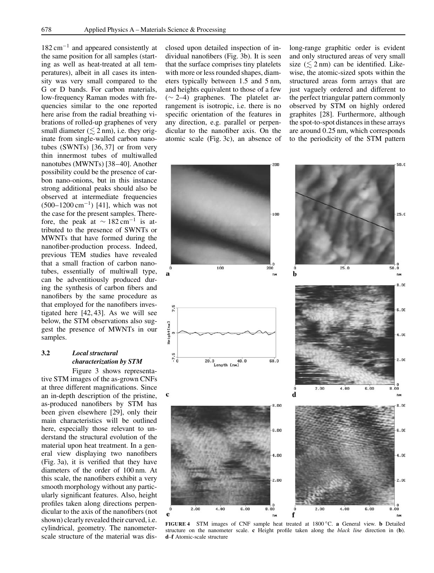182 cm−<sup>1</sup> and appeared consistently at the same position for all samples (starting as well as heat-treated at all temperatures), albeit in all cases its intensity was very small compared to the G or D bands. For carbon materials, low-frequency Raman modes with frequencies similar to the one reported here arise from the radial breathing vibrations of rolled-up graphenes of very small diameter ( $\leq$  2 nm), i.e. they originate from single-walled carbon nanotubes (SWNTs) [36, 37] or from very thin innermost tubes of multiwalled nanotubes (MWNTs) [38–40]. Another possibility could be the presence of carbon nano-onions, but in this instance strong additional peaks should also be observed at intermediate frequencies  $(500-1200 \text{ cm}^{-1})$  [41], which was not the case for the present samples. Therefore, the peak at  $\sim 182 \text{ cm}^{-1}$  is attributed to the presence of SWNTs or MWNTs that have formed during the nanofiber-production process. Indeed, previous TEM studies have revealed that a small fraction of carbon nanotubes, essentially of multiwall type, can be adventitiously produced during the synthesis of carbon fibers and nanofibers by the same procedure as that employed for the nanofibers investigated here [42, 43]. As we will see below, the STM observations also suggest the presence of MWNTs in our samples.

# **3.2** *Local structural characterization by STM*

Figure 3 shows representative STM images of the as-grown CNFs at three different magnifications. Since an in-depth description of the pristine, as-produced nanofibers by STM has been given elsewhere [29], only their main characteristics will be outlined here, especially those relevant to understand the structural evolution of the material upon heat treatment. In a general view displaying two nanofibers (Fig. 3a), it is verified that they have diameters of the order of 100 nm. At this scale, the nanofibers exhibit a very smooth morphology without any particularly significant features. Also, height profiles taken along directions perpendicular to the axis of the nanofibers (not shown) clearly revealed their curved, i.e. cylindrical, geometry. The nanometerscale structure of the material was disclosed upon detailed inspection of individual nanofibers (Fig. 3b). It is seen that the surface comprises tiny platelets with more or less rounded shapes, diameters typically between 1.5 and 5 nm, and heights equivalent to those of a few (∼ 2–4) graphenes. The platelet arrangement is isotropic, i.e. there is no specific orientation of the features in any direction, e.g. parallel or perpendicular to the nanofiber axis. On the atomic scale (Fig. 3c), an absence of long-range graphitic order is evident and only structured areas of very small size  $(\leq 2 \text{ nm})$  can be identified. Likewise, the atomic-sized spots within the structured areas form arrays that are just vaguely ordered and different to the perfect triangular pattern commonly observed by STM on highly ordered graphites [28]. Furthermore, although the spot-to-spot distances in these arrays are around 0.25 nm, which corresponds to the periodicity of the STM pattern



**FIGURE 4** STM images of CNF sample heat treated at 1800 ◦C. **a** General view. **b** Detailed structure on the nanometer scale. **c** Height profile taken along the *black line* direction in (**b**). **d**–**f** Atomic-scale structure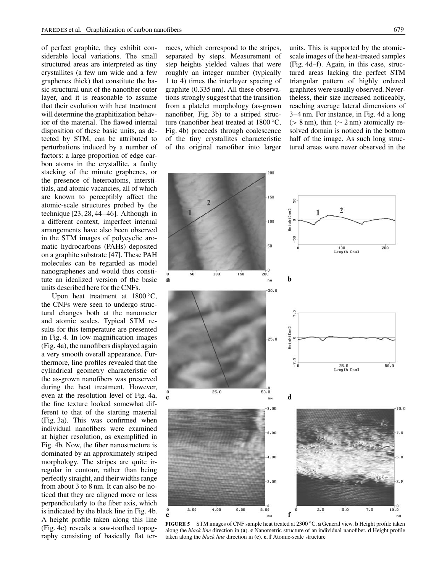of perfect graphite, they exhibit considerable local variations. The small structured areas are interpreted as tiny crystallites (a few nm wide and a few graphenes thick) that constitute the basic structural unit of the nanofiber outer layer, and it is reasonable to assume that their evolution with heat treatment will determine the graphitization behavior of the material. The flawed internal disposition of these basic units, as detected by STM, can be attributed to perturbations induced by a number of factors: a large proportion of edge carbon atoms in the crystallite, a faulty stacking of the minute graphenes, or the presence of heteroatoms, interstitials, and atomic vacancies, all of which are known to perceptibly affect the atomic-scale structures probed by the technique [23, 28, 44–46]. Although in a different context, imperfect internal arrangements have also been observed in the STM images of polycyclic aromatic hydrocarbons (PAHs) deposited on a graphite substrate [47]. These PAH molecules can be regarded as model nanographenes and would thus constitute an idealized version of the basic units described here for the CNFs.

Upon heat treatment at  $1800 °C$ , the CNFs were seen to undergo structural changes both at the nanometer and atomic scales. Typical STM results for this temperature are presented in Fig. 4. In low-magnification images (Fig. 4a), the nanofibers displayed again a very smooth overall appearance. Furthermore, line profiles revealed that the cylindrical geometry characteristic of the as-grown nanofibers was preserved during the heat treatment. However, even at the resolution level of Fig. 4a, the fine texture looked somewhat different to that of the starting material (Fig. 3a). This was confirmed when individual nanofibers were examined at higher resolution, as exemplified in Fig. 4b. Now, the fiber nanostructure is dominated by an approximately striped morphology. The stripes are quite irregular in contour, rather than being perfectly straight, and their widths range from about 3 to 8 nm. It can also be noticed that they are aligned more or less perpendicularly to the fiber axis, which is indicated by the black line in Fig. 4b. A height profile taken along this line (Fig. 4c) reveals a saw-toothed topography consisting of basically flat terraces, which correspond to the stripes, separated by steps. Measurement of step heights yielded values that were roughly an integer number (typically 1 to 4) times the interlayer spacing of graphite (0.335 nm). All these observations strongly suggest that the transition from a platelet morphology (as-grown nanofiber, Fig. 3b) to a striped structure (nanofiber heat treated at 1800 ◦C, Fig. 4b) proceeds through coalescence of the tiny crystallites characteristic of the original nanofiber into larger units. This is supported by the atomicscale images of the heat-treated samples (Fig. 4d–f). Again, in this case, structured areas lacking the perfect STM triangular pattern of highly ordered graphites were usually observed. Nevertheless, their size increased noticeably, reaching average lateral dimensions of 3–4 nm. For instance, in Fig. 4d a long ( $> 8$  nm), thin ( $\sim$  2 nm) atomically resolved domain is noticed in the bottom half of the image. As such long structured areas were never observed in the



**FIGURE 5** STM images of CNF sample heat treated at 2300 ◦C. **a** General view. **b** Height profile taken along the *black line* direction in (**a**). **c** Nanometric structure of an individual nanofiber. **d** Height profile taken along the *black line* direction in (**c**). **e**, **f** Atomic-scale structure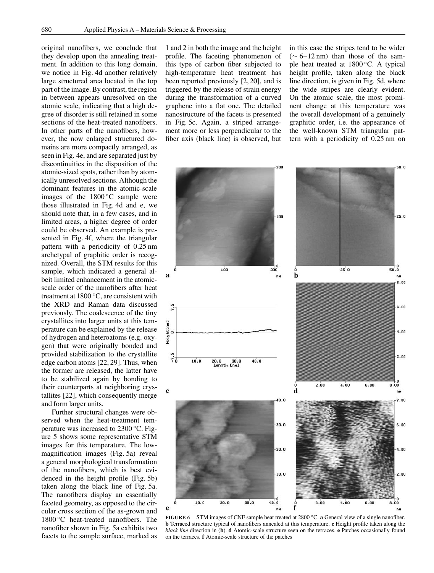original nanofibers, we conclude that they develop upon the annealing treatment. In addition to this long domain, we notice in Fig. 4d another relatively large structured area located in the top part of the image. By contrast, the region in between appears unresolved on the atomic scale, indicating that a high degree of disorder is still retained in some sections of the heat-treated nanofibers. In other parts of the nanofibers, however, the now enlarged structured domains are more compactly arranged, as seen in Fig. 4e, and are separated just by discontinuities in the disposition of the atomic-sized spots, rather than by atomically unresolved sections. Although the dominant features in the atomic-scale images of the 1800 ◦C sample were those illustrated in Fig. 4d and e, we should note that, in a few cases, and in limited areas, a higher degree of order could be observed. An example is presented in Fig. 4f, where the triangular pattern with a periodicity of 0.25 nm archetypal of graphitic order is recognized. Overall, the STM results for this sample, which indicated a general albeit limited enhancement in the atomicscale order of the nanofibers after heat treatment at 1800 ◦C, are consistent with the XRD and Raman data discussed previously. The coalescence of the tiny crystallites into larger units at this temperature can be explained by the release of hydrogen and heteroatoms (e.g. oxygen) that were originally bonded and provided stabilization to the crystallite edge carbon atoms [22, 29]. Thus, when the former are released, the latter have to be stabilized again by bonding to their counterparts at neighboring crystallites [22], which consequently merge and form larger units.

Further structural changes were observed when the heat-treatment temperature was increased to 2300 ◦C. Figure 5 shows some representative STM images for this temperature. The lowmagnification images (Fig. 5a) reveal a general morphological transformation of the nanofibers, which is best evidenced in the height profile (Fig. 5b) taken along the black line of Fig. 5a. The nanofibers display an essentially faceted geometry, as opposed to the circular cross section of the as-grown and 1800 ◦C heat-treated nanofibers. The nanofiber shown in Fig. 5a exhibits two facets to the sample surface, marked as 1 and 2 in both the image and the height profile. The faceting phenomenon of this type of carbon fiber subjected to high-temperature heat treatment has been reported previously [2, 20], and is triggered by the release of strain energy during the transformation of a curved graphene into a flat one. The detailed nanostructure of the facets is presented in Fig. 5c. Again, a striped arrangement more or less perpendicular to the fiber axis (black line) is observed, but in this case the stripes tend to be wider (∼ 6–12 nm) than those of the sample heat treated at 1800 ◦C. A typical height profile, taken along the black line direction, is given in Fig. 5d, where the wide stripes are clearly evident. On the atomic scale, the most prominent change at this temperature was the overall development of a genuinely graphitic order, i.e. the appearance of the well-known STM triangular pattern with a periodicity of 0.25 nm on



**FIGURE 6** STM images of CNF sample heat treated at 2800 ◦C. **a** General view of a single nanofiber. **b** Terraced structure typical of nanofibers annealed at this temperature. **c** Height profile taken along the *black line* direction in (**b**). **d** Atomic-scale structure seen on the terraces. **e** Patches occasionally found on the terraces. **f** Atomic-scale structure of the patches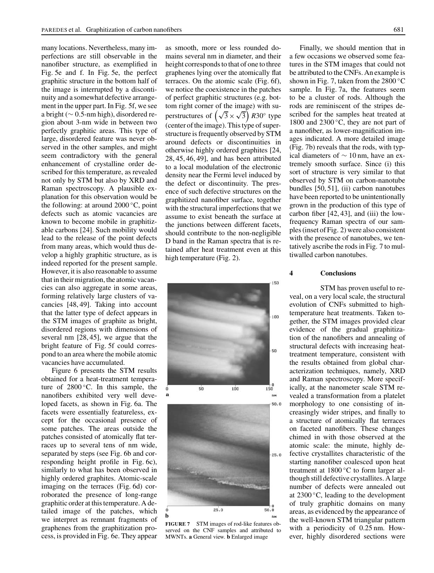many locations. Nevertheless, many imperfections are still observable in the nanofiber structure, as exemplified in Fig. 5e and f. In Fig. 5e, the perfect graphitic structure in the bottom half of the image is interrupted by a discontinuity and a somewhat defective arrangement in the upper part. In Fig. 5f, we see a bright (∼ 0.5-nm high), disordered region about 3-nm wide in between two perfectly graphitic areas. This type of large, disordered feature was never observed in the other samples, and might seem contradictory with the general enhancement of crystalline order described for this temperature, as revealed not only by STM but also by XRD and Raman spectroscopy. A plausible explanation for this observation would be the following: at around  $2000 °C$ , point defects such as atomic vacancies are known to become mobile in graphitizable carbons [24]. Such mobility would lead to the release of the point defects from many areas, which would thus develop a highly graphitic structure, as is indeed reported for the present sample. However, it is also reasonable to assume that in their migration, the atomic vacancies can also aggregate in some areas, forming relatively large clusters of vacancies [48, 49]. Taking into account that the latter type of defect appears in the STM images of graphite as bright, disordered regions with dimensions of several nm [28, 45], we argue that the bright feature of Fig. 5f could correspond to an area where the mobile atomic vacancies have accumulated.

Figure 6 presents the STM results obtained for a heat-treatment temperature of  $2800^{\circ}$ C. In this sample, the nanofibers exhibited very well developed facets, as shown in Fig. 6a. The facets were essentially featureless, except for the occasional presence of some patches. The areas outside the patches consisted of atomically flat terraces up to several tens of nm wide, separated by steps (see Fig. 6b and corresponding height profile in Fig. 6c), similarly to what has been observed in highly ordered graphites. Atomic-scale imaging on the terraces (Fig. 6d) corroborated the presence of long-range graphitic order at this temperature. A detailed image of the patches, which we interpret as remnant fragments of graphenes from the graphitization process, is provided in Fig. 6e. They appear

as smooth, more or less rounded domains several nm in diameter, and their height corresponds to that of one to three graphenes lying over the atomically flat terraces. On the atomic scale (Fig. 6f), we notice the coexistence in the patches of perfect graphitic structures (e.g. bottom right corner of the image) with superstructures of  $(\sqrt{3} \times \sqrt{3})$  R30° type (center of the image). This type of superstructure is frequently observed by STM around defects or discontinuities in otherwise highly ordered graphites [24, 28, 45, 46, 49], and has been attributed to a local modulation of the electronic density near the Fermi level induced by the defect or discontinuity. The presence of such defective structures on the graphitized nanofiber surface, together with the structural imperfections that we assume to exist beneath the surface at the junctions between different facets, should contribute to the non-negligible D band in the Raman spectra that is retained after heat treatment even at this high temperature (Fig. 2).



**FIGURE 7** STM images of rod-like features observed on the CNF samples and attributed to MWNTs. **a** General view. **b** Enlarged image

Finally, we should mention that in a few occasions we observed some features in the STM images that could not be attributed to the CNFs. An example is shown in Fig. 7, taken from the  $2800 °C$ sample. In Fig. 7a, the features seem to be a cluster of rods. Although the rods are reminiscent of the stripes described for the samples heat treated at 1800 and 2300 ◦C, they are not part of a nanofiber, as lower-magnification images indicated. A more detailed image (Fig. 7b) reveals that the rods, with typical diameters of ∼ 10 nm, have an extremely smooth surface. Since (i) this sort of structure is very similar to that observed by STM on carbon-nanotube bundles [50, 51], (ii) carbon nanotubes have been reported to be unintentionally grown in the production of this type of carbon fiber [42, 43], and (iii) the lowfrequency Raman spectra of our samples (inset of Fig. 2) were also consistent with the presence of nanotubes, we tentatively ascribe the rods in Fig. 7 to multiwalled carbon nanotubes.

#### **4 Conclusions**

STM has proven useful to reveal, on a very local scale, the structural evolution of CNFs submitted to hightemperature heat treatments. Taken together, the STM images provided clear evidence of the gradual graphitization of the nanofibers and annealing of structural defects with increasing heattreatment temperature, consistent with the results obtained from global characterization techniques, namely, XRD and Raman spectroscopy. More specifically, at the nanometer scale STM revealed a transformation from a platelet morphology to one consisting of increasingly wider stripes, and finally to a structure of atomically flat terraces on faceted nanofibers. These changes chimed in with those observed at the atomic scale: the minute, highly defective crystallites characteristic of the starting nanofiber coalesced upon heat treatment at 1800 ℃ to form larger although still defective crystallites. A large number of defects were annealed out at 2300 ◦C, leading to the development of truly graphitic domains on many areas, as evidenced by the appearance of the well-known STM triangular pattern with a periodicity of 0.25 nm. However, highly disordered sections were